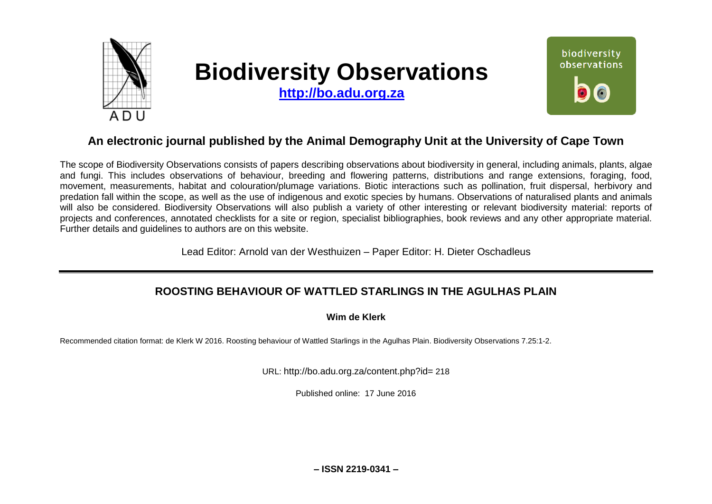

# **Biodiversity Observations**

**[http://bo.adu.org.za](http://bo.adu.org.za/)**



## **An electronic journal published by the Animal Demography Unit at the University of Cape Town**

The scope of Biodiversity Observations consists of papers describing observations about biodiversity in general, including animals, plants, algae and fungi. This includes observations of behaviour, breeding and flowering patterns, distributions and range extensions, foraging, food, movement, measurements, habitat and colouration/plumage variations. Biotic interactions such as pollination, fruit dispersal, herbivory and predation fall within the scope, as well as the use of indigenous and exotic species by humans. Observations of naturalised plants and animals will also be considered. Biodiversity Observations will also publish a variety of other interesting or relevant biodiversity material: reports of projects and conferences, annotated checklists for a site or region, specialist bibliographies, book reviews and any other appropriate material. Further details and guidelines to authors are on this website.

Lead Editor: Arnold van der Westhuizen – Paper Editor: H. Dieter Oschadleus

## **ROOSTING BEHAVIOUR OF WATTLED STARLINGS IN THE AGULHAS PLAIN**

**Wim de Klerk**

Recommended citation format: de Klerk W 2016. Roosting behaviour of Wattled Starlings in the Agulhas Plain. Biodiversity Observations 7.25:1-2.

URL: http://bo.adu.org.za/content.php?id= 218

Published online: 17 June 2016

**– ISSN 2219-0341 –**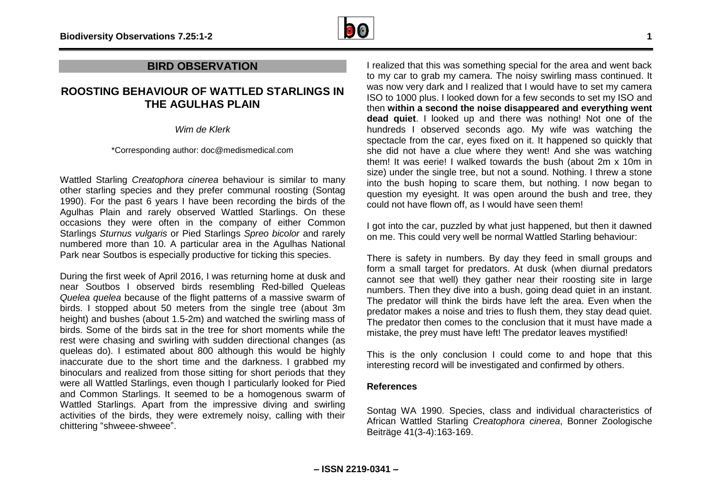

#### **BIRD OBSERVATION**

### **ROOSTING BEHAVIOUR OF WATTLED STARLINGS IN THE AGULHAS PLAIN**

*Wim de Klerk*

\*Corresponding author: doc@medismedical.com

Wattled Starling *Creatophora cinerea* behaviour is similar to many other starling species and they prefer communal roosting (Sontag 1990). For the past 6 years I have been recording the birds of the Agulhas Plain and rarely observed Wattled Starlings. On these occasions they were often in the company of either Common Starlings *Sturnus vulgaris* or Pied Starlings *Spreo bicolor* and rarely numbered more than 10. A particular area in the Agulhas National Park near Soutbos is especially productive for ticking this species.

During the first week of April 2016, I was returning home at dusk and near Soutbos I observed birds resembling Red-billed Queleas *Quelea quelea* because of the flight patterns of a massive swarm of birds. I stopped about 50 meters from the single tree (about 3m height) and bushes (about 1.5-2m) and watched the swirling mass of birds. Some of the birds sat in the tree for short moments while the rest were chasing and swirling with sudden directional changes (as queleas do). I estimated about 800 although this would be highly inaccurate due to the short time and the darkness. I grabbed my binoculars and realized from those sitting for short periods that they were all Wattled Starlings, even though I particularly looked for Pied and Common Starlings. It seemed to be a homogenous swarm of Wattled Starlings. Apart from the impressive diving and swirling activities of the birds, they were extremely noisy, calling with their chittering "shweee-shweee".

I realized that this was something special for the area and went back to my car to grab my camera. The noisy swirling mass continued. It was now very dark and I realized that I would have to set my camera ISO to 1000 plus. I looked down for a few seconds to set my ISO and then **within a second the noise disappeared and everything went dead quiet**. I looked up and there was nothing! Not one of the hundreds I observed seconds ago. My wife was watching the spectacle from the car, eves fixed on it. It happened so quickly that she did not have a clue where they went! And she was watching them! It was eerie! I walked towards the bush (about 2m x 10m in size) under the single tree, but not a sound. Nothing. I threw a stone into the bush hoping to scare them, but nothing. I now began to question my eyesight. It was open around the bush and tree, they could not have flown off, as I would have seen them!

I got into the car, puzzled by what just happened, but then it dawned on me. This could very well be normal Wattled Starling behaviour:

There is safety in numbers. By day they feed in small groups and form a small target for predators. At dusk (when diurnal predators cannot see that well) they gather near their roosting site in large numbers. Then they dive into a bush, going dead quiet in an instant. The predator will think the birds have left the area. Even when the predator makes a noise and tries to flush them, they stay dead quiet. The predator then comes to the conclusion that it must have made a mistake, the prey must have left! The predator leaves mystified!

This is the only conclusion I could come to and hope that this interesting record will be investigated and confirmed by others.

#### **References**

Sontag WA 1990. Species, class and individual characteristics of African Wattled Starling *Creatophora cinerea*, Bonner Zoologische Beiträge 41(3-4):163-169.